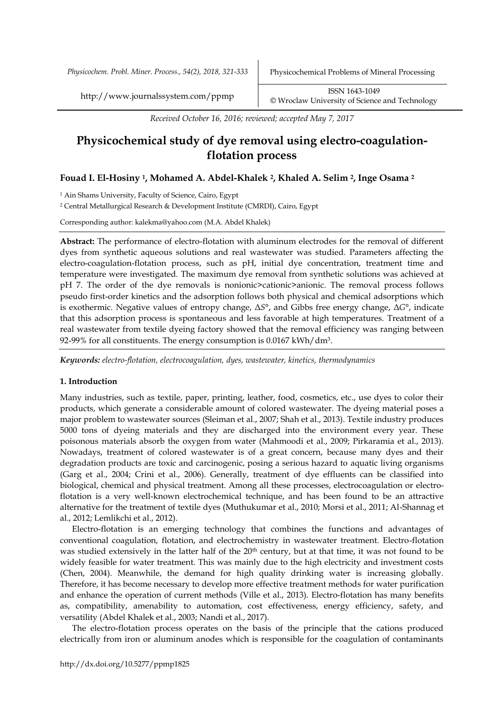*Physicochem. Probl. Miner. Process., 54(2), 2018, 321-333* Physicochemical Problems of Mineral Processing

http://www.journalssystem.com/ppmp ISSN 1643-1049 [©](http://www.minproc.pwr.wroc.pl/journal/) Wroclaw University of Science and Technology

*Received October 16, 2016; reviewed; accepted May 7, 2017*

# **Physicochemical study of dye removal using electro-coagulationflotation process**

# **Fouad I. El-Hosiny <sup>1</sup>, Mohamed A. Abdel-Khalek <sup>2</sup>, Khaled A. Selim <sup>2</sup>, Inge Osama <sup>2</sup>**

<sup>1</sup> Ain Shams University, Faculty of Science, Cairo, Egypt

<sup>2</sup> Central Metallurgical Research & Development Institute (CMRDI), Cairo, Egypt

Corresponding author: kalekma@yahoo.com (M.A. Abdel Khalek)

**Abstract:** The performance of electro-flotation with aluminum electrodes for the removal of different dyes from synthetic aqueous solutions and real wastewater was studied. Parameters affecting the electro-coagulation-flotation process, such as pH, initial dye concentration, treatment time and temperature were investigated. The maximum dye removal from synthetic solutions was achieved at pH 7. The order of the dye removals is nonionic>cationic>anionic. The removal process follows pseudo first-order kinetics and the adsorption follows both physical and chemical adsorptions which is exothermic. Negative values of entropy change, Δ*S°*, and Gibbs free energy change, Δ*G°*, indicate that this adsorption process is spontaneous and less favorable at high temperatures. Treatment of a real wastewater from textile dyeing factory showed that the removal efficiency was ranging between 92-99% for all constituents. The energy consumption is 0.0167 kWh/dm $^3\!$ .

*Keywords: electro-flotation, electrocoagulation, dyes, wastewater, kinetics, thermodynamics*

# **1. Introduction**

Many industries, such as textile, paper, printing, leather, food, cosmetics, etc., use dyes to color their products, which generate a considerable amount of colored wastewater. The dyeing material poses a major problem to wastewater sources (Sleiman et al., 2007; Shah et al., 2013). Textile industry produces 5000 tons of dyeing materials and they are discharged into the environment every year. These poisonous materials absorb the oxygen from water (Mahmoodi et al., 2009; Pirkaramia et al., 2013). Nowadays, treatment of colored wastewater is of a great concern, because many dyes and their degradation products are toxic and carcinogenic, posing a serious hazard to aquatic living organisms (Garg et al., 2004; Crini et al., 2006). Generally, treatment of dye effluents can be classified into biological, chemical and physical treatment. Among all these processes, electrocoagulation or electroflotation is a very well-known electrochemical technique, and has been found to be an attractive alternative for the treatment of textile dyes (Muthukumar et al., 2010; Morsi et al., 2011; Al-Shannag et al., 2012; Lemlikchi et al., 2012).

Electro-flotation is an emerging technology that combines the functions and advantages of conventional coagulation, flotation, and electrochemistry in wastewater treatment. Electro-flotation was studied extensively in the latter half of the 20<sup>th</sup> century, but at that time, it was not found to be widely feasible for water treatment. This was mainly due to the high electricity and investment costs (Chen, 2004). Meanwhile, the demand for high quality drinking water is increasing globally. Therefore, it has become necessary to develop more effective treatment methods for water purification and enhance the operation of current methods (Ville et al., 2013). Electro-flotation has many benefits as, compatibility, amenability to automation, cost effectiveness, energy efficiency, safety, and versatility (Abdel Khalek et al., 2003; Nandi et al., 2017).

The electro-flotation process operates on the basis of the principle that the cations produced electrically from iron or aluminum anodes which is responsible for the coagulation of contaminants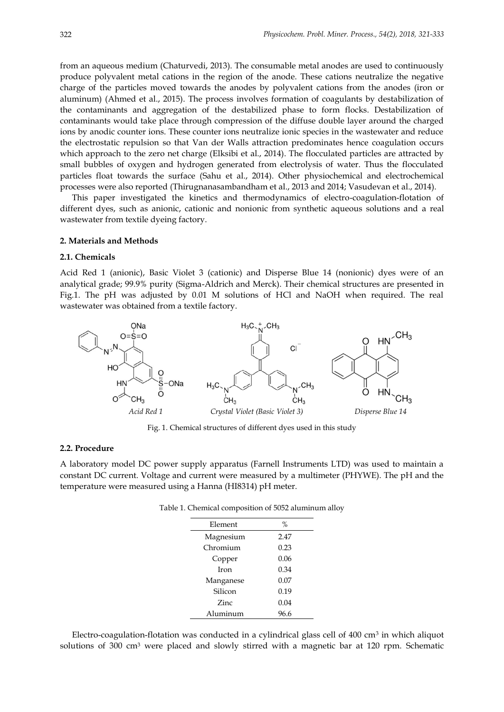from an aqueous medium (Chaturvedi, 2013). The consumable metal anodes are used to continuously produce polyvalent metal cations in the region of the anode. These cations neutralize the negative charge of the particles moved towards the anodes by polyvalent cations from the anodes (iron or aluminum) (Ahmed et al., 2015). The process involves formation of coagulants by destabilization of the contaminants and aggregation of the destabilized phase to form flocks. Destabilization of contaminants would take place through compression of the diffuse double layer around the charged ions by anodic counter ions. These counter ions neutralize ionic species in the wastewater and reduce the electrostatic repulsion so that Van der Walls attraction predominates hence coagulation occurs which approach to the zero net charge (Elksibi et al., 2014). The flocculated particles are attracted by small bubbles of oxygen and hydrogen generated from electrolysis of water. Thus the flocculated particles float towards the surface (Sahu et al., 2014). Other physiochemical and electrochemical processes were also reported (Thirugnanasambandham et al., 2013 and 2014; Vasudevan et al., 2014).

This paper investigated the kinetics and thermodynamics of electro-coagulation-flotation of different dyes, such as anionic, cationic and nonionic from synthetic aqueous solutions and a real wastewater from textile dyeing factory.

## **2. Materials and Methods**

# **2.1. Chemicals**

Acid Red 1 (anionic), Basic Violet 3 (cationic) and Disperse Blue 14 (nonionic) dyes were of an analytical grade; 99.9% purity (Sigma-Aldrich and Merck). Their chemical structures are presented in Fig.1. The pH was adjusted by 0.01 M solutions of HCl and NaOH when required. The real wastewater was obtained from a textile factory.



Fig. 1. Chemical structures of different dyes used in this study

## **2.2. Procedure**

A laboratory model DC power supply apparatus (Farnell Instruments LTD) was used to maintain a constant DC current. Voltage and current were measured by a multimeter (PHYWE). The pH and the temperature were measured using a Hanna (HI8314) pH meter.

Table 1. Chemical composition of 5052 aluminum alloy

| Element   | $\%$ |
|-----------|------|
| Magnesium | 2.47 |
| Chromium  | 0.23 |
| Copper    | 0.06 |
| Iron      | 0.34 |
| Manganese | 0.07 |
| Silicon   | 0.19 |
| Zinc      | 0.04 |
| Aluminum  | 96.6 |

Electro-coagulation-flotation was conducted in a cylindrical glass cell of  $400 \text{ cm}^3$  in which aliquot solutions of 300 cm<sup>3</sup> were placed and slowly stirred with a magnetic bar at 120 rpm. Schematic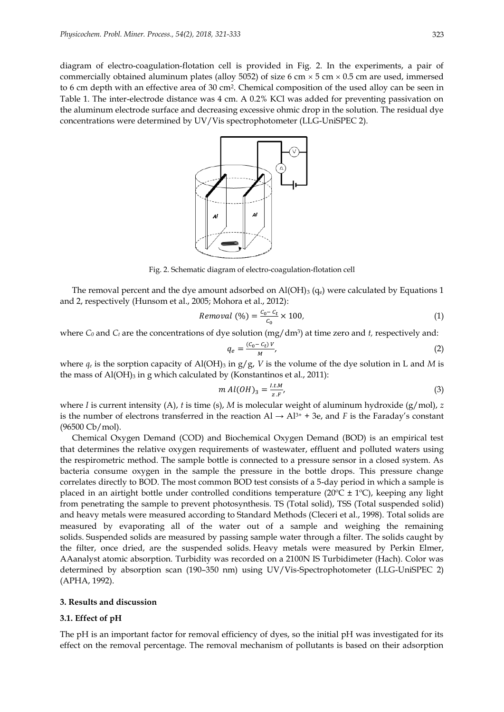diagram of electro-coagulation-flotation cell is provided in Fig. 2. In the experiments, a pair of commercially obtained aluminum plates (alloy 5052) of size 6 cm  $\times$  5 cm  $\times$  0.5 cm are used, immersed to 6 cm depth with an effective area of 30 cm<sup>2</sup> . Chemical composition of the used alloy can be seen in Table 1. The inter-electrode distance was 4 cm. A 0.2% KCl was added for preventing passivation on the aluminum electrode surface and decreasing excessive ohmic drop in the solution. The residual dye concentrations were determined by UV/Vis spectrophotometer (LLG-UniSPEC 2).



Fig. 2. Schematic diagram of electro-coagulation-flotation cell

The removal percent and the dye amount adsorbed on  $AI(OH)$ <sub>3</sub> (q<sub>e</sub>) were calculated by Equations 1 and 2, respectively (Hunsom et al., 2005; Mohora et al., 2012):

$$
Removal (%) = \frac{c_0 - c_t}{c_0} \times 100,
$$
\n<sup>(1)</sup>

where  $C_0$  and  $C_t$  are the concentrations of dye solution  $(mg/dm^3)$  at time zero and *t,* respectively and:

$$
q_e = \frac{(c_0 - c_t)v}{M},\tag{2}
$$

where  $q_e$  is the sorption capacity of Al(OH)<sub>3</sub> in  $g/g$ , *V* is the volume of the dye solution in L and *M* is the mass of  $AI(OH)$ <sub>3</sub> in g which calculated by (Konstantinos et al., 2011):

$$
m Al(OH)_3 = \frac{l.t.M}{z.F},\tag{3}
$$

where *I* is current intensity (A), *t* is time (s), *M* is molecular weight of aluminum hydroxide (g/mol), *z* is the number of electrons transferred in the reaction  $\text{Al} \rightarrow \text{Al}^{3+} + 3\text{e}$ , and *F* is the Faraday's constant (96500 Cb/mol).

Chemical Oxygen Demand (COD) and Biochemical Oxygen Demand (BOD) is an empirical test that determines the relative oxygen requirements of wastewater, effluent and polluted waters using the respirometric method. The sample bottle is connected to a pressure sensor in a closed system. As bacteria consume oxygen in the sample the pressure in the bottle drops. This pressure change correlates directly to BOD. The most common BOD test consists of a 5-day period in which a sample is placed in an airtight bottle under controlled conditions temperature ( $20^{\circ}C \pm 1^{\circ}C$ ), keeping any light from penetrating the sample to prevent photosynthesis. TS (Total solid), TSS (Total suspended solid) and heavy metals were measured according to Standard Methods (Cleceri et al., 1998). Total solids are measured by evaporating all of the water out of a sample and weighing the remaining solids. Suspended solids are measured by passing sample water through a filter. The solids caught by the filter, once dried, are the suspended solids. Heavy metals were measured by Perkin Elmer, AAanalyst atomic absorption. Turbidity was recorded on a 2100N IS Turbidimeter (Hach). Color was determined by absorption scan (190–350 nm) using UV/Vis-Spectrophotometer (LLG-UniSPEC 2) (APHA, 1992).

#### **3. Results and discussion**

#### **3.1. Effect of pH**

The pH is an important factor for removal efficiency of dyes, so the initial pH was investigated for its effect on the removal percentage. The removal mechanism of pollutants is based on their adsorption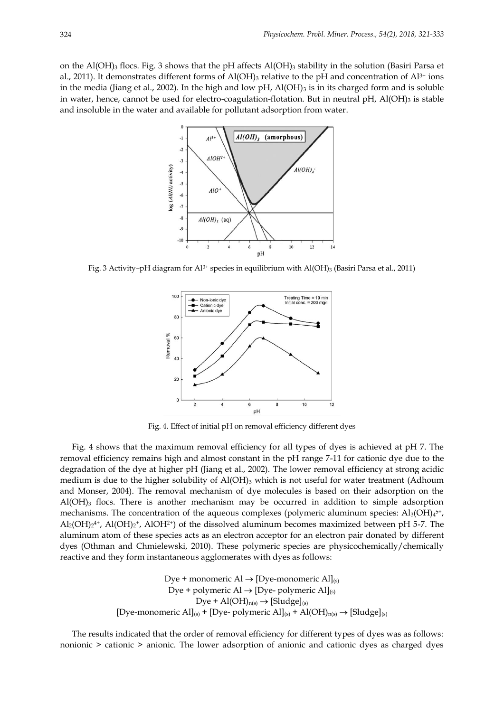on the Al(OH)<sub>3</sub> flocs. Fig. 3 shows that the pH affects Al(OH)<sub>3</sub> stability in the solution (Basiri Parsa et al., 2011). It demonstrates different forms of  $Al(OH)_3$  relative to the pH and concentration of  $Al^{3+}$  ions in the media (Jiang et al., 2002). In the high and low pH,  $Al(OH)_{3}$  is in its charged form and is soluble in water, hence, cannot be used for electro-coagulation-flotation. But in neutral pH,  $Al(OH)_{3}$  is stable and insoluble in the water and available for pollutant adsorption from water.



Fig. 3 Activity–pH diagram for Al<sup>3+</sup> species in equilibrium with Al(OH)<sub>3</sub> (Basiri Parsa et al., 2011)



Fig. 4. Effect of initial pH on removal efficiency different dyes

Fig. 4 shows that the maximum removal efficiency for all types of dyes is achieved at pH 7. The removal efficiency remains high and almost constant in the pH range 7-11 for cationic dye due to the degradation of the dye at higher pH (Jiang et al., 2002). The lower removal efficiency at strong acidic medium is due to the higher solubility of  $A(OH)$ <sub>3</sub> which is not useful for water treatment (Adhoum and Monser, 2004). The removal mechanism of dye molecules is based on their adsorption on the  $Al(OH)$ <sub>3</sub> flocs. There is another mechanism may be occurred in addition to simple adsorption mechanisms. The concentration of the aqueous complexes (polymeric aluminum species:  $Al_3(OH)_{4}^{5+}$ ,  $\text{Al}_2(\text{OH})_2$ <sup>4</sup>, Al(OH)<sub>2</sub><sup>+</sup>, AlOH<sup>2+</sup>) of the dissolved aluminum becomes maximized between pH 5-7. The aluminum atom of these species acts as an electron acceptor for an electron pair donated by different dyes (Othman and Chmielewski, 2010). These polymeric species are physicochemically/chemically reactive and they form instantaneous agglomerates with dyes as follows:

> Dye + monomeric  $\text{Al} \rightarrow \text{[Dye-monomeric Al]}_{\text{(s)}}$ Dye + polymeric Al  $\rightarrow$  [Dye- polymeric Al]<sub>(s)</sub> Dye +  $\text{Al(OH)}_{n(s)} \rightarrow \text{[Sludge]}_{(s)}$ [Dye-monomeric Al]<sub>(s)</sub> + [Dye- polymeric Al]<sub>(s)</sub> + Al(OH)<sub>n(s)</sub>  $\rightarrow$  [Sludge]<sub>(s)</sub>

The results indicated that the order of removal efficiency for different types of dyes was as follows: nonionic > cationic > anionic. The lower adsorption of anionic and cationic dyes as charged dyes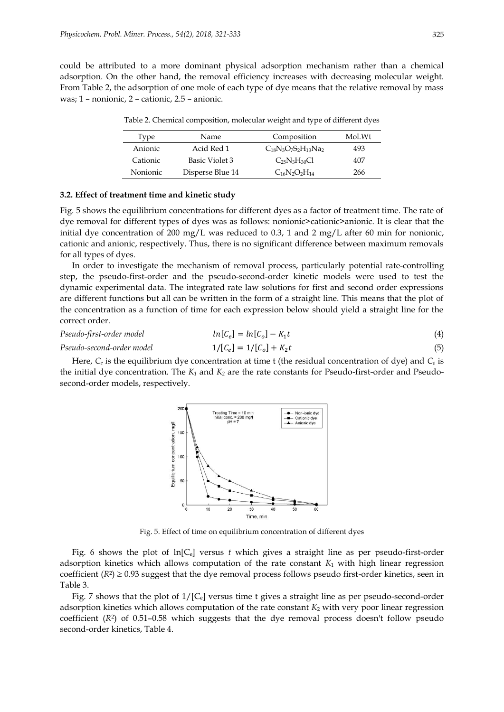could be attributed to a more dominant physical adsorption mechanism rather than a chemical adsorption. On the other hand, the removal efficiency increases with decreasing molecular weight. From Table 2, the adsorption of one mole of each type of dye means that the relative removal by mass was; 1 – nonionic, 2 – cationic, 2.5 – anionic.

| Type     | Name             | Composition                 | Mol.Wt |
|----------|------------------|-----------------------------|--------|
| Anionic  | Acid Red 1       | $C_{18}N_3O_7S_2H_{13}Na_2$ | 493    |
| Cationic | Basic Violet 3   | $C_{25}N_3H_{30}Cl$         | 407    |
| Nonionic | Disperse Blue 14 | $C_{16}N_2O_2H_{14}$        | 266    |

Table 2. Chemical composition, molecular weight and type of different dyes

# **3.2. Effect of treatment time and kinetic study**

Fig. 5 shows the equilibrium concentrations for different dyes as a factor of treatment time. The rate of dye removal for different types of dyes was as follows: nonionic>cationic>anionic. It is clear that the initial dye concentration of 200 mg/L was reduced to 0.3, 1 and 2 mg/L after 60 min for nonionic, cationic and anionic, respectively. Thus, there is no significant difference between maximum removals for all types of dyes.

In order to investigate the mechanism of removal process, particularly potential rate-controlling step, the pseudo-first-order and the pseudo-second-order kinetic models were used to test the dynamic experimental data. The integrated rate law solutions for first and second order expressions are different functions but all can be written in the form of a straight line. This means that the plot of the concentration as a function of time for each expression below should yield a straight line for the correct order.

#### *Pseudo-first-order model* [

$$
ln[C_e] = ln[C_o] - K_1 t \tag{4}
$$

*Pseudo-second-order model* 1/[C<sub>e</sub>]

$$
1/[C_e] = 1/[C_o] + K_2 t \tag{5}
$$

Here, *C<sup>e</sup>* is the equilibrium dye concentration at time t (the residual concentration of dye) and *C<sup>o</sup>* is the initial dye concentration. The *K<sup>1</sup>* and *K<sup>2</sup>* are the rate constants for Pseudo-first-order and Pseudosecond-order models, respectively.



Fig. 5. Effect of time on equilibrium concentration of different dyes

Fig. 6 shows the plot of ln[Ce] versus *t* which gives a straight line as per pseudo-first-order adsorption kinetics which allows computation of the rate constant *K*<sup>1</sup> with high linear regression coefficient  $(R^2) \geq 0.93$  suggest that the dye removal process follows pseudo first-order kinetics, seen in Table 3.

Fig. 7 shows that the plot of  $1/[C_e]$  versus time t gives a straight line as per pseudo-second-order adsorption kinetics which allows computation of the rate constant *K*<sup>2</sup> with very poor linear regression coefficient (*R*<sup>2</sup> ) of 0.51–0.58 which suggests that the dye removal process doesn't follow pseudo second-order kinetics, Table 4.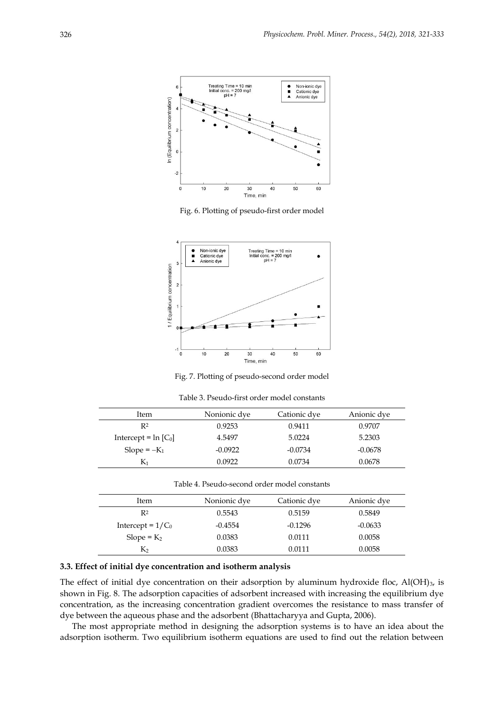

Fig. 6. Plotting of pseudo-first order model



Fig. 7. Plotting of pseudo-second order model

| Table 3. Pseudo-first order model constants |  |
|---------------------------------------------|--|
|---------------------------------------------|--|

| Item                    | Nonionic dye | Cationic dye | Anionic dye |
|-------------------------|--------------|--------------|-------------|
| R <sup>2</sup>          | 0.9253       | 0.9411       | 0.9707      |
| Intercept = $\ln [C_0]$ | 4.5497       | 5.0224       | 5.2303      |
| Slope = $-K_1$          | $-0.0922$    | $-0.0734$    | $-0.0678$   |
|                         | 0.0922       | 0.0734       | 0.0678      |

| Item                | Nonionic dye | Cationic dye | Anionic dye |
|---------------------|--------------|--------------|-------------|
| R2                  | 0.5543       | 0.5159       | 0.5849      |
| Intercept = $1/C_0$ | $-0.4554$    | $-0.1296$    | $-0.0633$   |
| Slope = $K_2$       | 0.0383       | 0.0111       | 0.0058      |
| K2                  | 0.0383       | 0.0111       | 0.0058      |

## **3.3. Effect of initial dye concentration and isotherm analysis**

The effect of initial dye concentration on their adsorption by aluminum hydroxide floc,  $AI(OH)_{3}$ , is shown in Fig. 8. The adsorption capacities of adsorbent increased with increasing the equilibrium dye concentration, as the increasing concentration gradient overcomes the resistance to mass transfer of dye between the aqueous phase and the adsorbent (Bhattacharyya and Gupta, 2006).

The most appropriate method in designing the adsorption systems is to have an idea about the adsorption isotherm. Two equilibrium isotherm equations are used to find out the relation between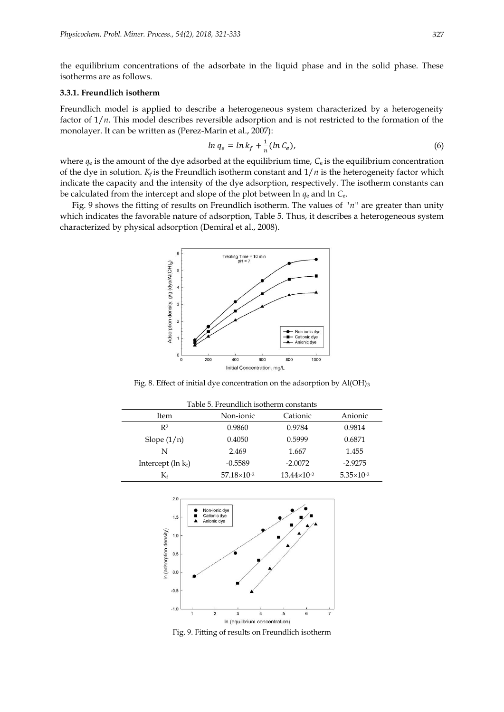the equilibrium concentrations of the adsorbate in the liquid phase and in the solid phase. These isotherms are as follows.

# **3.3.1. Freundlich isotherm**

Freundlich model is applied to describe a heterogeneous system characterized by a heterogeneity factor of  $1/n$ . This model describes reversible adsorption and is not restricted to the formation of the monolayer. It can be written as (Perez-Marin et al., 2007):

$$
\ln q_e = \ln k_f + \frac{1}{n} (\ln C_e),\tag{6}
$$

where  $q_e$  is the amount of the dye adsorbed at the equilibrium time,  $C_e$  is the equilibrium concentration of the dye in solution.  $K_f$  is the Freundlich isotherm constant and  $1/n$  is the heterogeneity factor which indicate the capacity and the intensity of the dye adsorption, respectively. The isotherm constants can be calculated from the intercept and slope of the plot between ln *q*<sup>e</sup> and ln *C*e.

Fig. 9 shows the fitting of results on Freundlich isotherm. The values of *"n"* are greater than unity which indicates the favorable nature of adsorption, Table 5. Thus, it describes a heterogeneous system characterized by physical adsorption (Demiral et al., 2008).



Fig. 8. Effect of initial dye concentration on the adsorption by Al(OH)<sub>3</sub>

| Table 5. Freundlich isotherm constants |                      |                        |                       |  |
|----------------------------------------|----------------------|------------------------|-----------------------|--|
| Item                                   | Non-ionic            | Cationic               | Anionic               |  |
| R <sup>2</sup>                         | 0.9860               | 0.9784                 | 0.9814                |  |
| Slope $(1/n)$                          | 0.4050               | 0.5999                 | 0.6871                |  |
| N                                      | 2.469                | 1.667                  | 1.455                 |  |
| Intercept $(\ln k_f)$                  | $-0.5589$            | $-2.0072$              | $-2.9275$             |  |
| $\rm K_{\rm f}$                        | $57.18\times10^{-2}$ | $13.44 \times 10^{-2}$ | $5.35 \times 10^{-2}$ |  |



Fig. 9. Fitting of results on Freundlich isotherm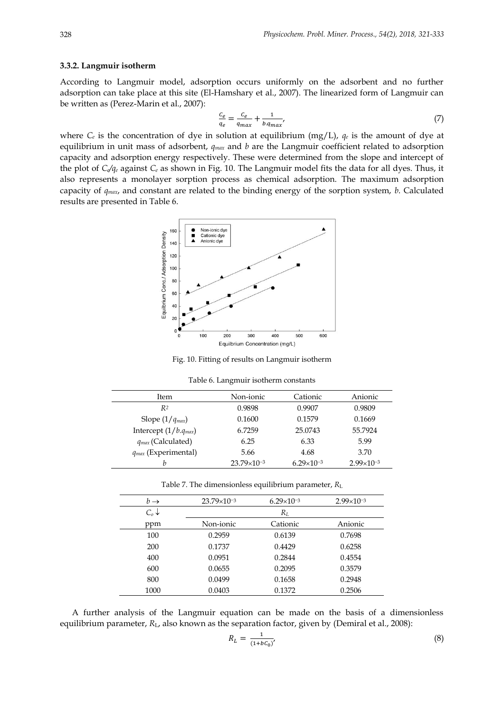### **3.3.2. Langmuir isotherm**

According to Langmuir model, adsorption occurs uniformly on the adsorbent and no further adsorption can take place at this site (El-Hamshary et al., 2007). The linearized form of Langmuir can be written as (Perez-Marin et al., 2007):

$$
\frac{c_e}{q_e} = \frac{c_e}{q_{max}} + \frac{1}{b.q_{max}},\tag{7}
$$

where  $C_e$  is the concentration of dye in solution at equilibrium (mg/L),  $q_e$  is the amount of dye at equilibrium in unit mass of adsorbent, *qmax* and *b* are the Langmuir coefficient related to adsorption capacity and adsorption energy respectively. These were determined from the slope and intercept of the plot of *Ce/q<sup>e</sup>* against *C<sup>e</sup>* as shown in Fig. 10. The Langmuir model fits the data for all dyes. Thus, it also represents a monolayer sorption process as chemical adsorption. The maximum adsorption capacity of *qmax*, and constant are related to the binding energy of the sorption system, *b*. Calculated results are presented in Table 6.



Fig. 10. Fitting of results on Langmuir isotherm

|  | Table 6. Langmuir isotherm constants |
|--|--------------------------------------|
|--|--------------------------------------|

| Item                      | Non-ionic              | Cationic              | Anionic               |
|---------------------------|------------------------|-----------------------|-----------------------|
| R2                        | 0.9898                 | 0.9907                | 0.9809                |
| Slope $(1/q_{max})$       | 0.1600                 | 0.1579                | 0.1669                |
| Intercept $(1/b.q_{max})$ | 6.7259                 | 25.0743               | 55.7924               |
| $q_{max}$ (Calculated)    | 6.25                   | 6.33                  | 5.99                  |
| $q_{max}$ (Experimental)  | 5.66                   | 4.68                  | 3.70                  |
| h                         | $23.79 \times 10^{-3}$ | $6.29 \times 10^{-3}$ | $2.99 \times 10^{-3}$ |

| Table 7. The dimensionless equilibrium parameter, $R_L$ |  |  |
|---------------------------------------------------------|--|--|
|---------------------------------------------------------|--|--|

| $b \rightarrow$  | $23.79 \times 10^{-3}$ | $6.29 \times 10^{-3}$ | $2.99 \times 10^{-3}$ |
|------------------|------------------------|-----------------------|-----------------------|
| $C_o \downarrow$ |                        | $R_L$                 |                       |
| ppm              | Non-ionic              | Cationic              | Anionic               |
| 100              | 0.2959                 | 0.6139                | 0.7698                |
| 200              | 0.1737                 | 0.4429                | 0.6258                |
| 400              | 0.0951                 | 0.2844                | 0.4554                |
| 600              | 0.0655                 | 0.2095                | 0.3579                |
| 800              | 0.0499                 | 0.1658                | 0.2948                |
| 1000             | 0.0403                 | 0.1372                | 0.2506                |

A further analysis of the Langmuir equation can be made on the basis of a dimensionless equilibrium parameter, *R*L, also known as the separation factor, given by (Demiral et al., 2008):

$$
R_L = \frac{1}{(1 + bc_0)'}\tag{8}
$$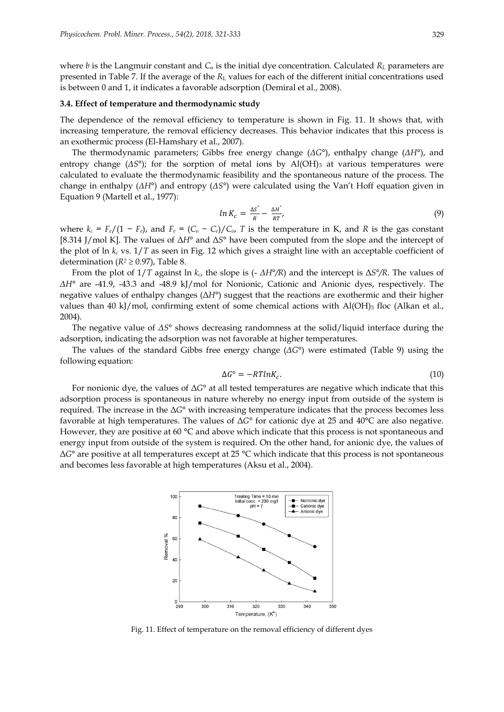where *b* is the Langmuir constant and  $C_0$  is the initial dye concentration. Calculated  $R_L$  parameters are presented in Table 7. If the average of the *R*<sub>L</sub> values for each of the different initial concentrations used is between 0 and 1, it indicates a favorable adsorption (Demiral et al., 2008).

#### **3.4. Effect of temperature and thermodynamic study**

The dependence of the removal efficiency to temperature is shown in Fig. 11. It shows that, with increasing temperature, the removal efficiency decreases. This behavior indicates that this process is an exothermic process (El-Hamshary et al., 2007).

The thermodynamic parameters; Gibbs free energy change (*ΔG°*), enthalpy change (*ΔH°*), and entropy change  $(\Delta S^{\circ})$ ; for the sorption of metal ions by Al(OH)<sub>3</sub> at various temperatures were calculated to evaluate the thermodynamic feasibility and the spontaneous nature of the process. The change in enthalpy (*ΔH°*) and entropy (*ΔS°*) were calculated using the Van't Hoff equation given in Equation 9 (Martell et al., 1977):

$$
ln K_c = \frac{\Delta S^{\circ}}{R} - \frac{\Delta H^{\circ}}{RT},
$$
\n(9)

where  $k_c = F_e/(1 - F_e)$ , and  $F_e = (C_o - C_e)/C_o$ , *T* is the temperature in K, and *R* is the gas constant [8.314 J/mol K]. The values of Δ*H°* and Δ*S°* have been computed from the slope and the intercept of the plot of ln *k<sup>c</sup>* vs. 1/*T* as seen in Fig. 12 which gives a straight line with an acceptable coefficient of determination ( $R^2 \ge 0.97$ ), Table 8.

From the plot of 1/*T* against ln *kc*, the slope is (- *ΔH°/R*) and the intercept is Δ*S°/R*. The values of *ΔH°* are -41.9, -43.3 and -48.9 kJ/mol for Nonionic, Cationic and Anionic dyes, respectively. The negative values of enthalpy changes (Δ*H°*) suggest that the reactions are exothermic and their higher values than 40 kJ/mol, confirming extent of some chemical actions with Al(OH)3 floc (Alkan et al., 2004).

The negative value of *ΔS°* shows decreasing randomness at the solid/liquid interface during the adsorption, indicating the adsorption was not favorable at higher temperatures.

The values of the standard Gibbs free energy change (*ΔG°*) were estimated (Table 9) using the following equation:

$$
\Delta G^{\circ} = -RTln K_c. \tag{10}
$$

For nonionic dye, the values of Δ*G°* at all tested temperatures are negative which indicate that this adsorption process is spontaneous in nature whereby no energy input from outside of the system is required. The increase in the Δ*G°* with increasing temperature indicates that the process becomes less favorable at high temperatures. The values of Δ*G°* for cationic dye at 25 and 40°C are also negative. However, they are positive at 60  $\degree$ C and above which indicate that this process is not spontaneous and energy input from outside of the system is required. On the other hand, for anionic dye, the values of Δ*G°* are positive at all temperatures except at 25 °C which indicate that this process is not spontaneous and becomes less favorable at high temperatures (Aksu et al., 2004).



Fig. 11. Effect of temperature on the removal efficiency of different dyes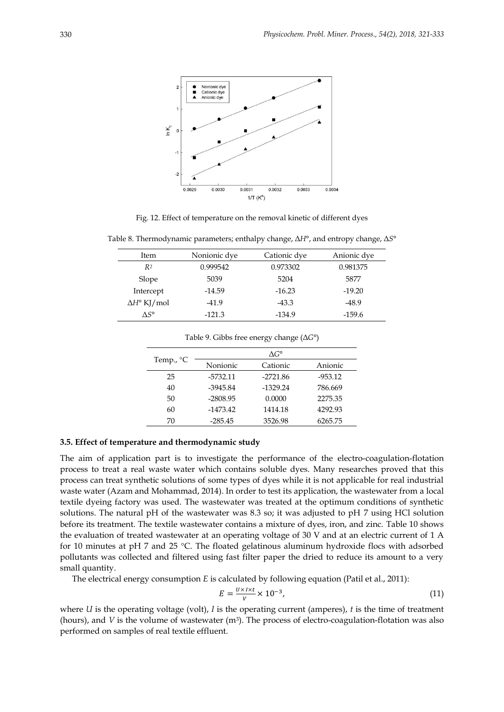

Fig. 12. Effect of temperature on the removal kinetic of different dyes

Table 8. Thermodynamic parameters; enthalpy change, Δ*H°*, and entropy change, Δ*S°*

| Item                      | Nonionic dye | Cationic dye | Anionic dye |
|---------------------------|--------------|--------------|-------------|
| R <sup>2</sup>            | 0.999542     | 0.973302     | 0.981375    |
| Slope                     | 5039         | 5204         | 5877        |
| Intercept                 | $-14.59$     | $-16.23$     | $-19.20$    |
| $\Delta H^{\circ}$ KJ/mol | $-41.9$      | $-43.3$      | $-48.9$     |
| ٨S°                       | $-121.3$     | $-134.9$     | $-159.6$    |

| Temp., $^{\circ}C$ | $\Lambda G^{\circ}$ |            |           |  |
|--------------------|---------------------|------------|-----------|--|
|                    | Nonionic            | Cationic   | Anionic   |  |
| 25                 | -5732.11            | $-2721.86$ | $-953.12$ |  |
| 40                 | -3945.84            | $-1329.24$ | 786.669   |  |
| 50                 | $-2808.95$          | 0.0000     | 2275.35   |  |
| 60                 | $-1473.42$          | 1414.18    | 4292.93   |  |
| 70                 | $-285.45$           | 3526.98    | 6265.75   |  |

Table 9. Gibbs free energy change (Δ*G°*)

# **3.5. Effect of temperature and thermodynamic study**

The aim of application part is to investigate the performance of the electro-coagulation-flotation process to treat a real waste water which contains soluble dyes. Many researches proved that this process can treat synthetic solutions of some types of dyes while it is not applicable for real industrial waste water (Azam and Mohammad, 2014). In order to test its application, the wastewater from a local textile dyeing factory was used. The wastewater was treated at the optimum conditions of synthetic solutions. The natural pH of the wastewater was 8.3 so; it was adjusted to pH 7 using HCl solution before its treatment. The textile wastewater contains a mixture of dyes, iron, and zinc. Table 10 shows the evaluation of treated wastewater at an operating voltage of 30 V and at an electric current of 1 A for 10 minutes at pH 7 and 25  $°C$ . The floated gelatinous aluminum hydroxide flocs with adsorbed pollutants was collected and filtered using fast filter paper the dried to reduce its amount to a very small quantity.

The electrical energy consumption *E* is calculated by following equation (Patil et al., 2011):

$$
E = \frac{U \times I \times t}{V} \times 10^{-3},\tag{11}
$$

where *U* is the operating voltage (volt), *I* is the operating current (amperes), *t* is the time of treatment (hours), and  $V$  is the volume of wastewater  $(m<sup>3</sup>)$ . The process of electro-coagulation-flotation was also performed on samples of real textile effluent.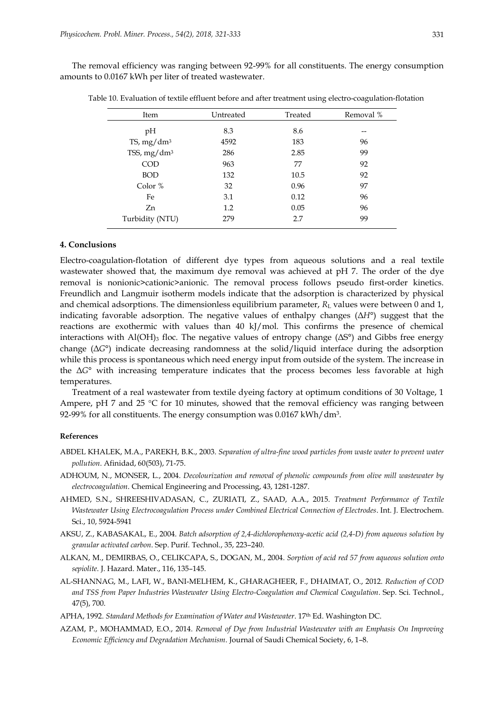The removal efficiency was ranging between 92-99% for all constituents. The energy consumption amounts to 0.0167 kWh per liter of treated wastewater.

| Item            | Untreated | Treated | Removal % |
|-----------------|-----------|---------|-----------|
| pH              | 8.3       | 8.6     | --        |
| TS, $mg/dm^3$   | 4592      | 183     | 96        |
| TSS, $mg/dm^3$  | 286       | 2.85    | 99        |
| <b>COD</b>      | 963       | 77      | 92        |
| <b>BOD</b>      | 132       | 10.5    | 92        |
| Color $%$       | 32        | 0.96    | 97        |
| Fe              | 3.1       | 0.12    | 96        |
| Zn              | 1.2       | 0.05    | 96        |
| Turbidity (NTU) | 279       | 2.7     | 99        |

Table 10. Evaluation of textile effluent before and after treatment using electro-coagulation-flotation

# **4. Conclusions**

Electro-coagulation-flotation of different dye types from aqueous solutions and a real textile wastewater showed that, the maximum dye removal was achieved at pH 7. The order of the dye removal is nonionic>cationic>anionic. The removal process follows pseudo first-order kinetics. Freundlich and Langmuir isotherm models indicate that the adsorption is characterized by physical and chemical adsorptions. The dimensionless equilibrium parameter, *R*<sup>L</sup> values were between 0 and 1, indicating favorable adsorption. The negative values of enthalpy changes (Δ*H°*) suggest that the reactions are exothermic with values than 40 kJ/mol. This confirms the presence of chemical interactions with  $AI(OH)$ <sub>3</sub> floc. The negative values of entropy change ( $\Delta S^{\circ}$ ) and Gibbs free energy change (Δ*G°*) indicate decreasing randomness at the solid/liquid interface during the adsorption while this process is spontaneous which need energy input from outside of the system. The increase in the Δ*G°* with increasing temperature indicates that the process becomes less favorable at high temperatures.

Treatment of a real wastewater from textile dyeing factory at optimum conditions of 30 Voltage, 1 Ampere, pH 7 and 25  $\degree$ C for 10 minutes, showed that the removal efficiency was ranging between 92-99% for all constituents. The energy consumption was 0.0167 kWh/dm $^3\!$ .

## **References**

- ABDEL KHALEK, M.A., PAREKH, B.K., 2003. *Separation of ultra-fine wood particles from waste water to prevent water pollution*. Afinidad, 60(503), 71-75.
- ADHOUM, N., MONSER, L., 2004. *Decolourization and removal of phenolic compounds from olive mill wastewater by electrocoagulation*. Chemical Engineering and Processing, 43, 1281-1287.
- AHMED, S.N., SHREESHIVADASAN, C., ZURIATI, Z., SAAD, A.A., 2015. *Treatment Performance of Textile Wastewater Using Electrocoagulation Process under Combined Electrical Connection of Electrodes*. Int. J. Electrochem. Sci., 10, 5924-5941
- AKSU, Z., KABASAKAL, E., 2004. *Batch adsorption of 2,4-dichlorophenoxy-acetic acid (2,4-D) from aqueous solution by granular activated carbon*. Sep. Purif. Technol., 35, 223–240.
- ALKAN, M., DEMIRBAS, O., CELIKCAPA, S., DOGAN, M., 2004. *Sorption of acid red 57 from aqueous solution onto sepiolite*. J. Hazard. Mater., 116, 135–145.
- AL-SHANNAG, M., LAFI, W., BANI-MELHEM, K., GHARAGHEER, F., DHAIMAT, O., 2012. *Reduction of COD and TSS from Paper Industries Wastewater Using Electro-Coagulation and Chemical Coagulation*. Sep. Sci. Technol., 47(5), 700.
- APHA, 1992. *Standard Methods for Examination of Water and Wastewater*. 17th Ed. Washington DC.
- AZAM, P., MOHAMMAD, E.O., 2014. *Removal of Dye from Industrial Wastewater with an Emphasis On Improving Economic Efficiency and Degradation Mechanism*. Journal of Saudi Chemical Society, 6, 1–8.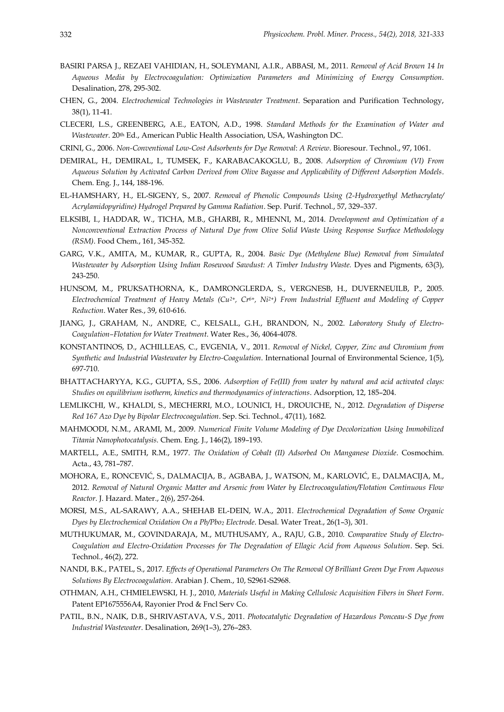- BASIRI PARSA J., REZAEI VAHIDIAN, H., SOLEYMANI, A.I.R., ABBASI, M., 2011. *Removal of Acid Brown 14 In Aqueous Media by Electrocoagulation: Optimization Parameters and Minimizing of Energy Consumption*. Desalination, 278, 295-302.
- CHEN, G., 2004. *Electrochemical Technologies in Wastewater Treatment*. Separation and Purification Technology, 38(1), 11-41.
- CLECERI, L.S., GREENBERG, A.E., EATON, A.D., 1998. *Standard Methods for the Examination of Water and Wastewater*. 20<sup>th</sup> Ed., American Public Health Association, USA, Washington DC.
- CRINI, G., 2006. *Non-Conventional Low-Cost Adsorbents for Dye Removal*: *A Review*. Bioresour. Technol., 97, 1061.
- DEMIRAL, H., DEMIRAL, I., TUMSEK, F., KARABACAKOGLU, B., 2008. *Adsorption of Chromium (VI) From Aqueous Solution by Activated Carbon Derived from Olive Bagasse and Applicability of Different Adsorption Models*. Chem. Eng. J., 144, 188-196.
- EL-HAMSHARY, H., EL-SIGENY, S., 2007. *Removal of Phenolic Compounds Using (2-Hydroxyethyl Methacrylate/ Acrylamidopyridine) Hydrogel Prepared by Gamma Radiation*. Sep. Purif. Technol., 57, 329–337.
- ELKSIBI, I., HADDAR, W., TICHA, M.B., GHARBI, R., MHENNI, M., 2014. *Development and Optimization of a Nonconventional Extraction Process of Natural Dye from Olive Solid Waste Using Response Surface Methodology (RSM)*. Food Chem., 161, 345-352.
- GARG, V.K., AMITA, M., KUMAR, R., GUPTA, R., 2004. *Basic Dye (Methylene Blue) Removal from Simulated Wastewater by Adsorption Using Indian Rosewood Sawdust: A Timber Industry Waste.* Dyes and Pigments, 63(3), 243-250.
- HUNSOM, M., PRUKSATHORNA, K., DAMRONGLERDA, S., VERGNESB, H., DUVERNEUILB, P., 2005. *Electrochemical Treatment of Heavy Metals (Cu2+, Cr6+, Ni2+) From Industrial Effluent and Modeling of Copper Reduction*. Water Res., 39, 610-616.
- JIANG, J., GRAHAM, N., ANDRE, C., KELSALL, G.H., BRANDON, N., 2002. *Laboratory Study of Electro-Coagulation–Flotation for Water Treatment*. Water Res., 36, 4064-4078.
- KONSTANTINOS, D., ACHILLEAS, C., EVGENIA, V., 2011. *Removal of Nickel, Copper, Zinc and Chromium from Synthetic and Industrial Wastewater by Electro-Coagulation*. International Journal of Environmental Science, 1(5), 697-710.
- BHATTACHARYYA, K.G., GUPTA, S.S., 2006. *Adsorption of Fe(III) from water by natural and acid activated clays: Studies on equilibrium isotherm, kinetics and thermodynamics of interactions*. Adsorption, 12, 185–204.
- LEMLIKCHI, W., KHALDI, S., MECHERRI, M.O., LOUNICI, H., DROUICHE, N., 2012. *Degradation of Disperse Red 167 Azo Dye by Bipolar Electrocoagulation*. Sep. Sci. Technol., 47(11), 1682.
- MAHMOODI, N.M., ARAMI, M., 2009. *Numerical Finite Volume Modeling of Dye Decolorization Using Immobilized Titania Nanophotocatalysis*. Chem. Eng. J., 146(2), 189–193.
- MARTELL, A.E., SMITH, R.M., 1977. *The Oxidation of Cobalt (II) Adsorbed On Manganese Dioxide*. Cosmochim. Acta., 43, 781–787.
- MOHORA, E., RONCEVIĆ, S., DALMACIJA, B., AGBABA, J., WATSON, M., KARLOVIĆ, E., DALMACIJA, M., 2012. *Removal of Natural Organic Matter and Arsenic from Water by Electrocoagulation/Flotation Continuous Flow Reactor*. J. Hazard. Mater., 2(6), 257-264.
- MORSI, M.S., AL-SARAWY, A.A., SHEHAB EL-DEIN, W.A., 2011. *Electrochemical Degradation of Some Organic Dyes by Electrochemical Oxidation On a Pb/Pbo<sup>2</sup> Electrode*. Desal. Water Treat., 26(1–3), 301.
- MUTHUKUMAR, M., GOVINDARAJA, M., MUTHUSAMY, A., RAJU, G.B., 2010. *Comparative Study of Electro-Coagulation and Electro-Oxidation Processes for The Degradation of Ellagic Acid from Aqueous Solution*. Sep. Sci. Technol*.*, 46(2), 272.
- NANDI, B.K., PATEL, S., 2017. *Effects of Operational Parameters On The Removal Of Brilliant Green Dye From Aqueous Solutions By Electrocoagulation*. Arabian J. Chem., 10, S2961-S2968.
- OTHMAN, A.H., CHMIELEWSKI, H. J., 2010, *Materials Useful in Making Cellulosic Acquisition Fibers in Sheet Form*. Patent EP1675556A4, Rayonier Prod & Fncl Serv Co.
- PATIL, B.N., NAIK, D.B., SHRIVASTAVA, V.S., 2011. *Photocatalytic Degradation of Hazardous Ponceau-S Dye from Industrial Wastewater*. Desalination, 269(1–3), 276–283.